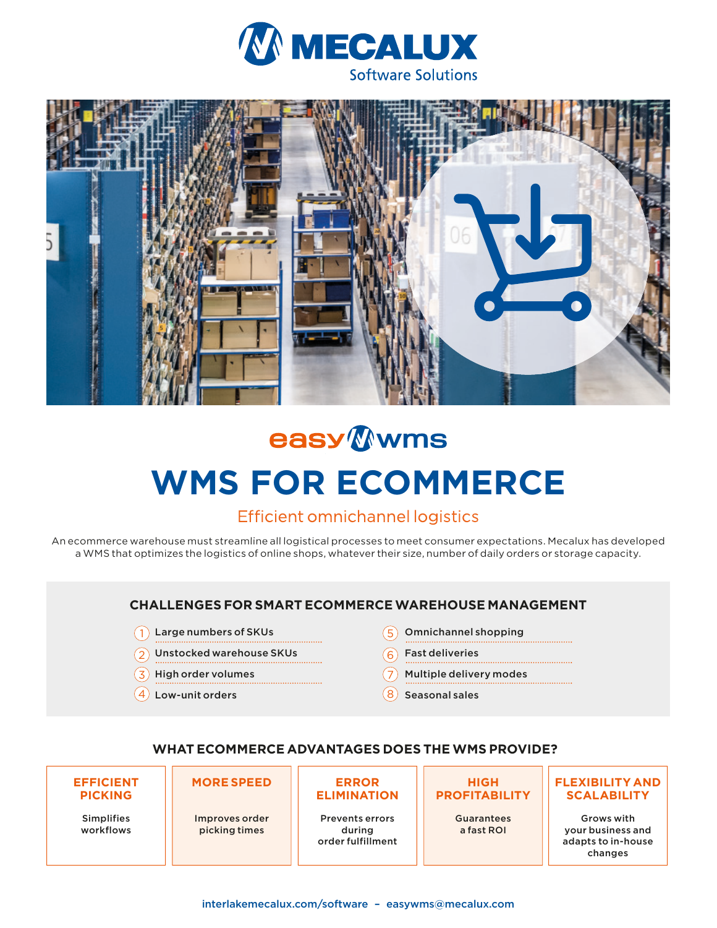



# easy Wwms **WMS FOR ECOMMERCE**

## Efficient omnichannel logistics

An ecommerce warehouse must streamline all logistical processes to meet consumer expectations. Mecalux has developed a WMS that optimizes the logistics of online shops, whatever their size, number of daily orders or storage capacity.

### **CHALLENGES FOR SMART ECOMMERCE WAREHOUSE MANAGEMENT**

- $\left( \begin{array}{c} 1 \end{array} \right)$  Large numbers of SKUs  $\left( 5 \right)$
- $\mathsf{Q} \big)$  Unstocked warehouse SKUs  $\mathsf{Q} \big(6\big)$
- $\overline{3}$  High order volumes  $(7)$
- $\overline{4}$  Low-unit orders  $\overline{8}$
- Omnichannel shopping
- 6 Fast deliveries
- $(7)$  Multiple delivery modes
- $(8)$  Seasonal sales

#### **WHAT ECOMMERCE ADVANTAGES DOES THE WMS PROVIDE?**

| <b>EFFICIENT</b>               | <b>MORE SPEED</b>               | <b>ERROR</b>                                          | <b>HIGH</b>                     | <b>FLEXIBILITY AND</b>                                           |
|--------------------------------|---------------------------------|-------------------------------------------------------|---------------------------------|------------------------------------------------------------------|
| <b>PICKING</b>                 |                                 | <b>ELIMINATION</b>                                    | <b>PROFITABILITY</b>            | <b>SCALABILITY</b>                                               |
| <b>Simplifies</b><br>workflows | Improves order<br>picking times | <b>Prevents errors</b><br>during<br>order fulfillment | <b>Guarantees</b><br>a fast ROI | Grows with<br>your business and<br>adapts to in-house<br>changes |